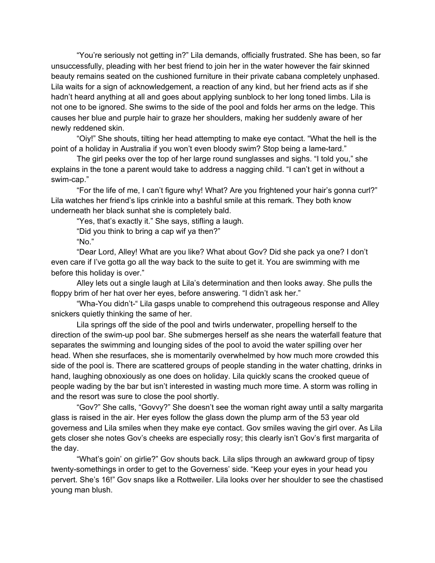"You're seriously not getting in?" Lila demands, officially frustrated. She has been, so far unsuccessfully, pleading with her best friend to join her in the water however the fair skinned beauty remains seated on the cushioned furniture in their private cabana completely unphased. Lila waits for a sign of acknowledgement, a reaction of any kind, but her friend acts as if she hadn't heard anything at all and goes about applying sunblock to her long toned limbs. Lila is not one to be ignored. She swims to the side of the pool and folds her arms on the ledge. This causes her blue and purple hair to graze her shoulders, making her suddenly aware of her newly reddened skin.

"Oiy!" She shouts, tilting her head attempting to make eye contact. "What the hell is the point of a holiday in Australia if you won't even bloody swim? Stop being a lame-tard."

The girl peeks over the top of her large round sunglasses and sighs. "I told you," she explains in the tone a parent would take to address a nagging child. "I can't get in without a swim-cap."

"For the life of me, I can't figure why! What? Are you frightened your hair's gonna curl?" Lila watches her friend's lips crinkle into a bashful smile at this remark. They both know underneath her black sunhat she is completely bald.

"Yes, that's exactly it." She says, stifling a laugh.

"Did you think to bring a cap wif ya then?"

"No."

"Dear Lord, Alley! What are you like? What about Gov? Did she pack ya one? I don't even care if I've gotta go all the way back to the suite to get it. You are swimming with me before this holiday is over."

Alley lets out a single laugh at Lila's determination and then looks away. She pulls the floppy brim of her hat over her eyes, before answering. "I didn't ask her."

"Wha-You didn't-" Lila gasps unable to comprehend this outrageous response and Alley snickers quietly thinking the same of her.

Lila springs off the side of the pool and twirls underwater, propelling herself to the direction of the swim-up pool bar. She submerges herself as she nears the waterfall feature that separates the swimming and lounging sides of the pool to avoid the water spilling over her head. When she resurfaces, she is momentarily overwhelmed by how much more crowded this side of the pool is. There are scattered groups of people standing in the water chatting, drinks in hand, laughing obnoxiously as one does on holiday. Lila quickly scans the crooked queue of people wading by the bar but isn't interested in wasting much more time. A storm was rolling in and the resort was sure to close the pool shortly.

"Gov?" She calls, "Govvy?" She doesn't see the woman right away until a salty margarita glass is raised in the air. Her eyes follow the glass down the plump arm of the 53 year old governess and Lila smiles when they make eye contact. Gov smiles waving the girl over. As Lila gets closer she notes Gov's cheeks are especially rosy; this clearly isn't Gov's first margarita of the day.

"What's goin' on girlie?" Gov shouts back. Lila slips through an awkward group of tipsy twenty-somethings in order to get to the Governess' side. "Keep your eyes in your head you pervert. She's 16!" Gov snaps like a Rottweiler. Lila looks over her shoulder to see the chastised young man blush.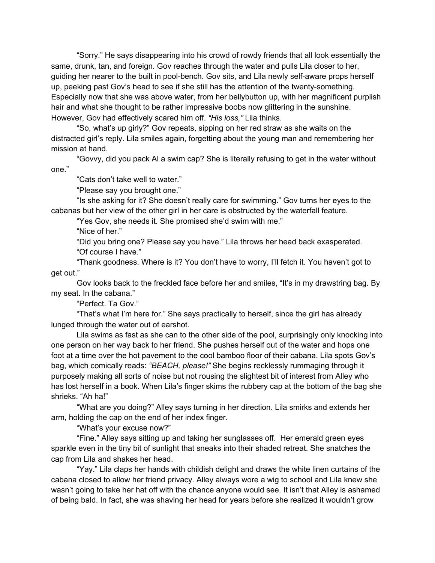"Sorry." He says disappearing into his crowd of rowdy friends that all look essentially the same, drunk, tan, and foreign. Gov reaches through the water and pulls Lila closer to her, guiding her nearer to the built in pool-bench. Gov sits, and Lila newly self-aware props herself up, peeking past Gov's head to see if she still has the attention of the twenty-something. Especially now that she was above water, from her bellybutton up, with her magnificent purplish hair and what she thought to be rather impressive boobs now glittering in the sunshine. However, Gov had effectively scared him off. *"His loss,"* Lila thinks.

"So, what's up girly?" Gov repeats, sipping on her red straw as she waits on the distracted girl's reply. Lila smiles again, forgetting about the young man and remembering her mission at hand.

"Govvy, did you pack Al a swim cap? She is literally refusing to get in the water without one."

"Cats don't take well to water."

"Please say you brought one."

"Is she asking for it? She doesn't really care for swimming." Gov turns her eyes to the cabanas but her view of the other girl in her care is obstructed by the waterfall feature.

"Yes Gov, she needs it. She promised she'd swim with me."

"Nice of her."

"Did you bring one? Please say you have." Lila throws her head back exasperated. "Of course I have."

"Thank goodness. Where is it? You don't have to worry, I'll fetch it. You haven't got to get out."

Gov looks back to the freckled face before her and smiles, "It's in my drawstring bag. By my seat. In the cabana."

"Perfect. Ta Gov."

"That's what I'm here for." She says practically to herself, since the girl has already lunged through the water out of earshot.

Lila swims as fast as she can to the other side of the pool, surprisingly only knocking into one person on her way back to her friend. She pushes herself out of the water and hops one foot at a time over the hot pavement to the cool bamboo floor of their cabana. Lila spots Gov's bag, which comically reads: *"BEACH, please!"* She begins recklessly rummaging through it purposely making all sorts of noise but not rousing the slightest bit of interest from Alley who has lost herself in a book. When Lila's finger skims the rubbery cap at the bottom of the bag she shrieks. "Ah ha!"

"What are you doing?" Alley says turning in her direction. Lila smirks and extends her arm, holding the cap on the end of her index finger.

"What's your excuse now?"

"Fine." Alley says sitting up and taking her sunglasses off. Her emerald green eyes sparkle even in the tiny bit of sunlight that sneaks into their shaded retreat. She snatches the cap from Lila and shakes her head.

"Yay." Lila claps her hands with childish delight and draws the white linen curtains of the cabana closed to allow her friend privacy. Alley always wore a wig to school and Lila knew she wasn't going to take her hat off with the chance anyone would see. It isn't that Alley is ashamed of being bald. In fact, she was shaving her head for years before she realized it wouldn't grow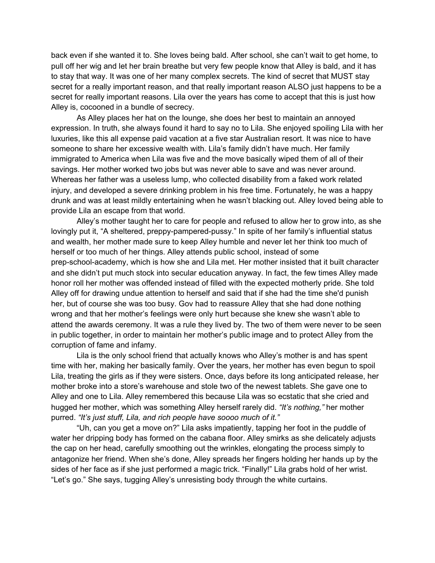back even if she wanted it to. She loves being bald. After school, she can't wait to get home, to pull off her wig and let her brain breathe but very few people know that Alley is bald, and it has to stay that way. It was one of her many complex secrets. The kind of secret that MUST stay secret for a really important reason, and that really important reason ALSO just happens to be a secret for really important reasons. Lila over the years has come to accept that this is just how Alley is, cocooned in a bundle of secrecy.

As Alley places her hat on the lounge, she does her best to maintain an annoyed expression. In truth, she always found it hard to say no to Lila. She enjoyed spoiling Lila with her luxuries, like this all expense paid vacation at a five star Australian resort. It was nice to have someone to share her excessive wealth with. Lila's family didn't have much. Her family immigrated to America when Lila was five and the move basically wiped them of all of their savings. Her mother worked two jobs but was never able to save and was never around. Whereas her father was a useless lump, who collected disability from a faked work related injury, and developed a severe drinking problem in his free time. Fortunately, he was a happy drunk and was at least mildly entertaining when he wasn't blacking out. Alley loved being able to provide Lila an escape from that world.

Alley's mother taught her to care for people and refused to allow her to grow into, as she lovingly put it, "A sheltered, preppy-pampered-pussy." In spite of her family's influential status and wealth, her mother made sure to keep Alley humble and never let her think too much of herself or too much of her things. Alley attends public school, instead of some prep-school-academy, which is how she and Lila met. Her mother insisted that it built character and she didn't put much stock into secular education anyway. In fact, the few times Alley made honor roll her mother was offended instead of filled with the expected motherly pride. She told Alley off for drawing undue attention to herself and said that if she had the time she'd punish her, but of course she was too busy. Gov had to reassure Alley that she had done nothing wrong and that her mother's feelings were only hurt because she knew she wasn't able to attend the awards ceremony. It was a rule they lived by. The two of them were never to be seen in public together, in order to maintain her mother's public image and to protect Alley from the corruption of fame and infamy.

Lila is the only school friend that actually knows who Alley's mother is and has spent time with her, making her basically family. Over the years, her mother has even begun to spoil Lila, treating the girls as if they were sisters. Once, days before its long anticipated release, her mother broke into a store's warehouse and stole two of the newest tablets. She gave one to Alley and one to Lila. Alley remembered this because Lila was so ecstatic that she cried and hugged her mother, which was something Alley herself rarely did. *"It's nothing,"* her mother purred. *"It's just stuff, Lila, and rich people have soooo much of it."*

"Uh, can you get a move on?" Lila asks impatiently, tapping her foot in the puddle of water her dripping body has formed on the cabana floor. Alley smirks as she delicately adjusts the cap on her head, carefully smoothing out the wrinkles, elongating the process simply to antagonize her friend. When she's done, Alley spreads her fingers holding her hands up by the sides of her face as if she just performed a magic trick. "Finally!" Lila grabs hold of her wrist. "Let's go." She says, tugging Alley's unresisting body through the white curtains.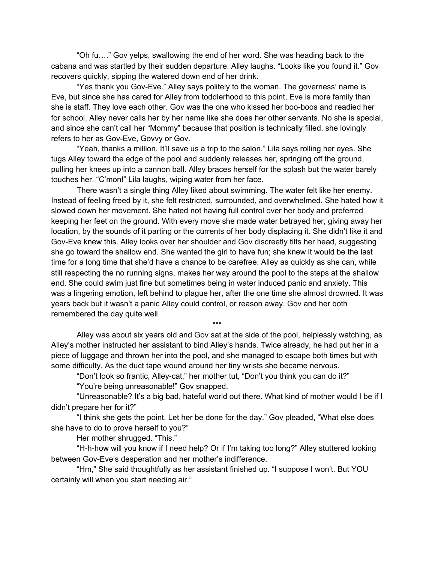"Oh fu…." Gov yelps, swallowing the end of her word. She was heading back to the cabana and was startled by their sudden departure. Alley laughs. "Looks like you found it." Gov recovers quickly, sipping the watered down end of her drink.

"Yes thank you Gov-Eve." Alley says politely to the woman. The governess' name is Eve, but since she has cared for Alley from toddlerhood to this point, Eve is more family than she is staff. They love each other. Gov was the one who kissed her boo-boos and readied her for school. Alley never calls her by her name like she does her other servants. No she is special, and since she can't call her "Mommy" because that position is technically filled, she lovingly refers to her as Gov-Eve, Govvy or Gov.

"Yeah, thanks a million. It'll save us a trip to the salon." Lila says rolling her eyes. She tugs Alley toward the edge of the pool and suddenly releases her, springing off the ground, pulling her knees up into a cannon ball. Alley braces herself for the splash but the water barely touches her. "C'mon!" Lila laughs, wiping water from her face.

There wasn't a single thing Alley liked about swimming. The water felt like her enemy. Instead of feeling freed by it, she felt restricted, surrounded, and overwhelmed. She hated how it slowed down her movement. She hated not having full control over her body and preferred keeping her feet on the ground. With every move she made water betrayed her, giving away her location, by the sounds of it parting or the currents of her body displacing it. She didn't like it and Gov-Eve knew this. Alley looks over her shoulder and Gov discreetly tilts her head, suggesting she go toward the shallow end. She wanted the girl to have fun; she knew it would be the last time for a long time that she'd have a chance to be carefree. Alley as quickly as she can, while still respecting the no running signs, makes her way around the pool to the steps at the shallow end. She could swim just fine but sometimes being in water induced panic and anxiety. This was a lingering emotion, left behind to plague her, after the one time she almost drowned. It was years back but it wasn't a panic Alley could control, or reason away. Gov and her both remembered the day quite well.

Alley was about six years old and Gov sat at the side of the pool, helplessly watching, as Alley's mother instructed her assistant to bind Alley's hands. Twice already, he had put her in a piece of luggage and thrown her into the pool, and she managed to escape both times but with some difficulty. As the duct tape wound around her tiny wrists she became nervous.

\*\*\*

"Don't look so frantic, Alley-cat," her mother tut, "Don't you think you can do it?"

"You're being unreasonable!" Gov snapped.

"Unreasonable? It's a big bad, hateful world out there. What kind of mother would I be if I didn't prepare her for it?"

"I think she gets the point. Let her be done for the day." Gov pleaded, "What else does she have to do to prove herself to you?"

Her mother shrugged. "This."

"H-h-how will you know if I need help? Or if I'm taking too long?" Alley stuttered looking between Gov-Eve's desperation and her mother's indifference.

"Hm," She said thoughtfully as her assistant finished up. "I suppose I won't. But YOU certainly will when you start needing air."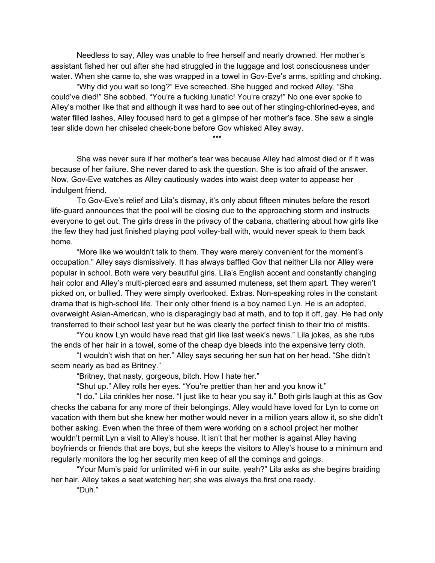Needless to say, Alley was unable to free herself and nearly drowned. Her mother's assistant fished her out after she had struggled in the luggage and lost consciousness under water. When she came to, she was wrapped in a towel in Gov-Eve's arms, spitting and choking.

"Why did you wait so long?" Eve screeched. She hugged and rocked Alley. "She could've died!" She sobbed. "You're a fucking lunatic! You're crazy!" No one ever spoke to Alley's mother like that and although it was hard to see out of her stinging-chlorined-eyes, and water filled lashes, Alley focused hard to get a glimpse of her mother's face. She saw a single tear slide down her chiseled cheek-bone before Gov whisked Alley away.

\*\*\*

She was never sure if her mother's tear was because Alley had almost died or if it was because of her failure. She never dared to ask the question. She is too afraid of the answer. Now, Gov-Eve watches as Alley cautiously wades into waist deep water to appease her indulgent friend.

To Gov-Eve's relief and Lila's dismay, it's only about fifteen minutes before the resort life-guard announces that the pool will be closing due to the approaching storm and instructs everyone to get out. The girls dress in the privacy of the cabana, chattering about how girls like the few they had just finished playing pool volley-ball with, would never speak to them back home.

"More like we wouldn't talk to them. They were merely convenient for the moment's occupation." Alley says dismissively. It has always baffled Gov that neither Lila nor Alley were popular in school. Both were very beautiful girls. Lila's English accent and constantly changing hair color and Alley's multi-pierced ears and assumed muteness, set them apart. They weren't picked on, or bullied. They were simply overlooked. Extras. Non-speaking roles in the constant drama that is high-school life. Their only other friend is a boy named Lyn. He is an adopted, overweight Asian-American, who is disparagingly bad at math, and to top it off, gay. He had only transferred to their school last year but he was clearly the perfect finish to their trio of misfits.

"You know Lyn would have read that girl like last week's news." Lila jokes, as she rubs the ends of her hair in a towel, some of the cheap dye bleeds into the expensive terry cloth.

"I wouldn't wish that on her." Alley says securing her sun hat on her head. "She didn't seem nearly as bad as Britney."

"Britney, that nasty, gorgeous, bitch. How I hate her."

"Shut up." Alley rolls her eyes. "You're prettier than her and you know it."

"I do." Lila crinkles her nose. "I just like to hear you say it." Both girls laugh at this as Gov checks the cabana for any more of their belongings. Alley would have loved for Lyn to come on vacation with them but she knew her mother would never in a million years allow it, so she didn't bother asking. Even when the three of them were working on a school project her mother wouldn't permit Lyn a visit to Alley's house. It isn't that her mother is against Alley having boyfriends or friends that are boys, but she keeps the visitors to Alley's house to a minimum and regularly monitors the log her security men keep of all the comings and goings.

"Your Mum's paid for unlimited wi-fi in our suite, yeah?" Lila asks as she begins braiding her hair. Alley takes a seat watching her; she was always the first one ready.

"Duh."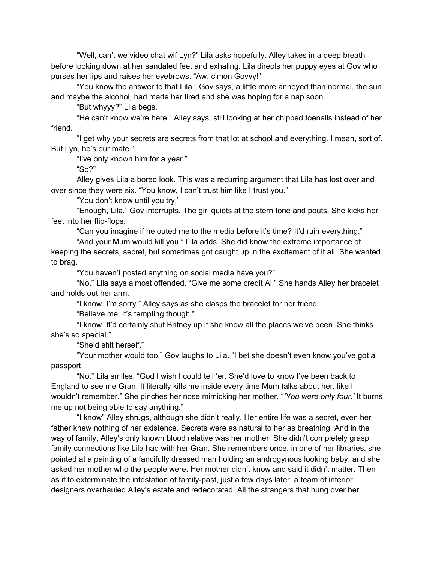"Well, can't we video chat wif Lyn?" Lila asks hopefully. Alley takes in a deep breath before looking down at her sandaled feet and exhaling. Lila directs her puppy eyes at Gov who purses her lips and raises her eyebrows. "Aw, c'mon Govvy!"

"You know the answer to that Lila." Gov says, a little more annoyed than normal, the sun and maybe the alcohol, had made her tired and she was hoping for a nap soon.

"But whyyy?" Lila begs.

"He can't know we're here." Alley says, still looking at her chipped toenails instead of her friend.

"I get why your secrets are secrets from that lot at school and everything. I mean, sort of. But Lyn, he's our mate."

"I've only known him for a year."

"So?"

Alley gives Lila a bored look. This was a recurring argument that Lila has lost over and over since they were six. "You know, I can't trust him like I trust you."

"You don't know until you try."

"Enough, Lila." Gov interrupts. The girl quiets at the stern tone and pouts. She kicks her feet into her flip-flops.

"Can you imagine if he outed me to the media before it's time? It'd ruin everything."

"And your Mum would kill you." Lila adds. She did know the extreme importance of keeping the secrets, secret, but sometimes got caught up in the excitement of it all. She wanted to brag.

"You haven't posted anything on social media have you?"

"No." Lila says almost offended. "Give me some credit Al." She hands Alley her bracelet and holds out her arm.

"I know. I'm sorry." Alley says as she clasps the bracelet for her friend.

"Believe me, it's tempting though."

"I know. It'd certainly shut Britney up if she knew all the places we've been. She thinks she's so special."

"She'd shit herself."

"Your mother would too," Gov laughs to Lila. "I bet she doesn't even know you've got a passport."

"No." Lila smiles. "God I wish I could tell 'er. She'd love to know I've been back to England to see me Gran. It literally kills me inside every time Mum talks about her, like I wouldn't remember." She pinches her nose mimicking her mother. "*'You were only four.'* It burns me up not being able to say anything*.*"

"I know" Alley shrugs, although she didn't really. Her entire life was a secret, even her father knew nothing of her existence. Secrets were as natural to her as breathing. And in the way of family, Alley's only known blood relative was her mother. She didn't completely grasp family connections like Lila had with her Gran. She remembers once, in one of her libraries, she pointed at a painting of a fancifully dressed man holding an androgynous looking baby, and she asked her mother who the people were. Her mother didn't know and said it didn't matter. Then as if to exterminate the infestation of family-past, just a few days later, a team of interior designers overhauled Alley's estate and redecorated. All the strangers that hung over her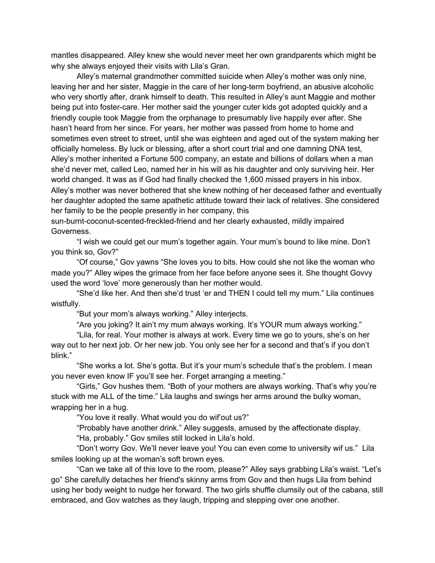mantles disappeared. Alley knew she would never meet her own grandparents which might be why she always enjoyed their visits with Lila's Gran.

Alley's maternal grandmother committed suicide when Alley's mother was only nine, leaving her and her sister, Maggie in the care of her long-term boyfriend, an abusive alcoholic who very shortly after, drank himself to death. This resulted in Alley's aunt Maggie and mother being put into foster-care. Her mother said the younger cuter kids got adopted quickly and a friendly couple took Maggie from the orphanage to presumably live happily ever after. She hasn't heard from her since. For years, her mother was passed from home to home and sometimes even street to street, until she was eighteen and aged out of the system making her officially homeless. By luck or blessing, after a short court trial and one damning DNA test, Alley's mother inherited a Fortune 500 company, an estate and billions of dollars when a man she'd never met, called Leo, named her in his will as his daughter and only surviving heir. Her world changed. It was as if God had finally checked the 1,600 missed prayers in his inbox. Alley's mother was never bothered that she knew nothing of her deceased father and eventually her daughter adopted the same apathetic attitude toward their lack of relatives. She considered her family to be the people presently in her company, this

sun-burnt-coconut-scented-freckled-friend and her clearly exhausted, mildly impaired Governess.

"I wish we could get our mum's together again. Your mum's bound to like mine. Don't you think so, Gov?"

"Of course," Gov yawns "She loves you to bits. How could she not like the woman who made you?" Alley wipes the grimace from her face before anyone sees it. She thought Govvy used the word 'love' more generously than her mother would.

"She'd like her. And then she'd trust 'er and THEN I could tell my mum." Lila continues wistfully.

"But your mom's always working." Alley interjects.

"Are you joking? It ain't my mum always working. It's YOUR mum always working."

"Lila, for real. Your mother is always at work. Every time we go to yours, she's on her way out to her next job. Or her new job. You only see her for a second and that's if you don't blink."

"She works a lot. She's gotta. But it's your mum's schedule that's the problem. I mean you never even know IF you'll see her. Forget arranging a meeting."

"Girls," Gov hushes them. "Both of your mothers are always working. That's why you're stuck with me ALL of the time." Lila laughs and swings her arms around the bulky woman, wrapping her in a hug.

"You love it really. What would you do wif'out us?"

"Probably have another drink." Alley suggests, amused by the affectionate display.

"Ha, probably." Gov smiles still locked in Lila's hold.

"Don't worry Gov. We'll never leave you! You can even come to university wif us." Lila smiles looking up at the woman's soft brown eyes.

"Can we take all of this love to the room, please?" Alley says grabbing Lila's waist. "Let's go" She carefully detaches her friend's skinny arms from Gov and then hugs Lila from behind using her body weight to nudge her forward. The two girls shuffle clumsily out of the cabana, still embraced, and Gov watches as they laugh, tripping and stepping over one another.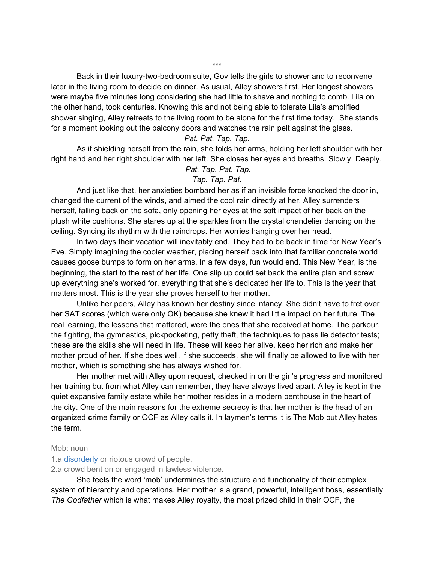Back in their luxury-two-bedroom suite, Gov tells the girls to shower and to reconvene later in the living room to decide on dinner. As usual, Alley showers first. Her longest showers were maybe five minutes long considering she had little to shave and nothing to comb. Lila on the other hand, took centuries. Knowing this and not being able to tolerate Lila's amplified shower singing, Alley retreats to the living room to be alone for the first time today. She stands for a moment looking out the balcony doors and watches the rain pelt against the glass.

## *Pat. Pat. Tap. Tap.*

As if shielding herself from the rain, she folds her arms, holding her left shoulder with her right hand and her right shoulder with her left. She closes her eyes and breaths. Slowly. Deeply.

## *Pat. Tap. Pat. Tap.*

## *Tap. Tap. Pat.*

And just like that, her anxieties bombard her as if an invisible force knocked the door in, changed the current of the winds, and aimed the cool rain directly at her. Alley surrenders herself, falling back on the sofa, only opening her eyes at the soft impact of her back on the plush white cushions. She stares up at the sparkles from the crystal chandelier dancing on the ceiling. Syncing its rhythm with the raindrops. Her worries hanging over her head.

In two days their vacation will inevitably end. They had to be back in time for New Year's Eve. Simply imagining the cooler weather, placing herself back into that familiar concrete world causes goose bumps to form on her arms. In a few days, fun would end. This New Year, is the beginning, the start to the rest of her life. One slip up could set back the entire plan and screw up everything she's worked for, everything that she's dedicated her life to. This is the year that matters most. This is the year she proves herself to her mother.

Unlike her peers, Alley has known her destiny since infancy. She didn't have to fret over her SAT scores (which were only OK) because she knew it had little impact on her future. The real learning, the lessons that mattered, were the ones that she received at home. The parkour, the fighting, the gymnastics, pickpocketing, petty theft, the techniques to pass lie detector tests; these are the skills she will need in life. These will keep her alive, keep her rich and make her mother proud of her. If she does well, if she succeeds, she will finally be allowed to live with her mother, which is something she has always wished for.

Her mother met with Alley upon request, checked in on the girl's progress and monitored her training but from what Alley can remember, they have always lived apart. Alley is kept in the quiet expansive family estate while her mother resides in a modern penthouse in the heart of the city. One of the main reasons for the extreme secrecy is that her mother is the head of an **o**rganized **c**rime **f**amily or OCF as Alley calls it. In laymen's terms it is The Mob but Alley hates the term.

## Mob: noun

1.a disorderly or riotous crowd of people.

2.a crowd bent on or engaged in lawless violence.

She feels the word 'mob' undermines the structure and functionality of their complex system of hierarchy and operations. Her mother is a grand, powerful, intelligent boss, essentially *The Godfather* which is what makes Alley royalty, the most prized child in their OCF, the